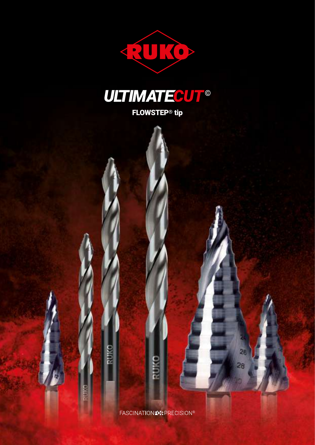



FLOWSTEP® tip

FASCINATION **10:** PRECISION®

PARTIC

28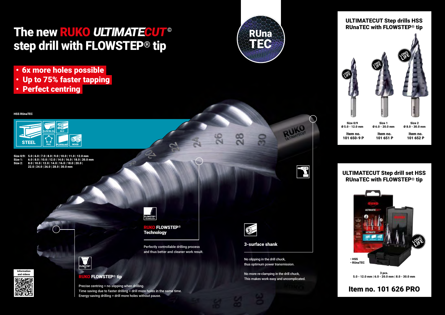



#### **FLOWSTEP<sup>®</sup> tip**





# The new RUKO ULTIMATECUT<sup>®</sup> step drill with FLOWSTEP® tip

- 6x more holes possible
- Up to 75% faster tapping
- Perfect centring

#### HSS RUnaTEC

RUKO FLOWSTEP® **Technology** 

Precise centring = no slipping when drilling. Time saving due to faster drilling = drill more holes in the same time. Energy-saving drilling = drill more holes without pause.



Size 0/9:  $5.0 | 6.0 | 7.0 | 8.0 | 9.0 | 10.0 | 11.0 | 12.0$  mm<br>Size 1:  $6.0 | 8.0 | 10.0 | 12.0 | 14.0 | 16.0 | 18.0 | 20.0$ Size 1:  $6.0 | 8.0 | 10.0 | 12.0 | 14.0 | 16.0 | 18.0 | 20.0$  mm<br>Size 2:  $8.0 | 10.0 | 12.0 | 14.0 | 16.0 | 18.0 | 20.0 |$  $8.0 | 10.0 | 12.0 | 14.0 | 16.0 | 18.0 | 20.0 |$ 22.0 | 24.0 | 26.0 | 28.0 | 30.0 mm

> Perfectly controllable drilling process and thus better and cleaner work result.

> > No slipping in the drill chuck, thus optimum power transmission.

No more re-clamping in the drill chuck, This makes work easy and uncomplicated.

### ULTIMATECUT Step drill set HSS RUnaTEC with FLOWSTEP® tip



3 pcs. 5.0 - 12.0 mm | 6.0 - 20.0 mm | 8.0 - 30.0 mm

## ULTIMATECUT Step drills HSS RUnaTEC with FLOWSTEP® tip



Size 0/9 Ø 5.0 - 12.0 mm



Size 1 Ø 6.0 - 20.0 mm

Size 2 Ø 8.0 - 30.0 mm

3-surface shank

## Item no. 101 626 PRO

Item no. 101 650-9 P

Item no. 101 651 P

Item no. 101 652 P

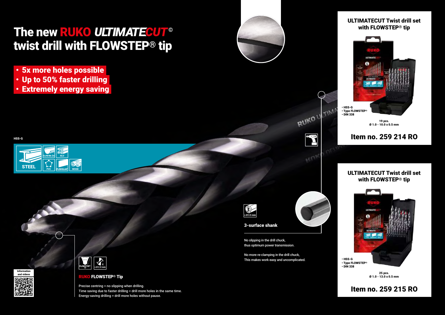

<sup>a videos</sup> RUKO FLOWSTEP® Tip<br>资料型回





- 5x more holes possible
- Up to 50% faster drilling
- Extremely energy saving



No slipping in the drill chuck, thus optimum power transmission.

No more re-clamping in the drill chuck, This makes work easy and uncomplicated.

3-surface shank

• HSS-G • Type FLOWSTEP®

• DIN 338

RUKO ULTIMA

• HSS-G • Type FLOWSTEP® • DIN 338

#### ULTIMATECUT Twist drill set with FLOWSTEP® tip



# The new RUKO ULTIMATECUT<sup>®</sup> twist drill with FLOWSTEP® tip



## ULTIMATECUT Twist drill set with FLOWSTEP® tip



25 pcs. Ø 1.0 - 13.0 x 0.5 mm

19 pcs. Ø 1.0 - 10.0 x 0.5 mm



Precise centring = no slipping when drilling. Time saving due to faster drilling = drill more holes in the same time. Energy-saving drilling = drill more holes without pause.

## Item no. 259 215 RO

# Item no. 259 214 RO